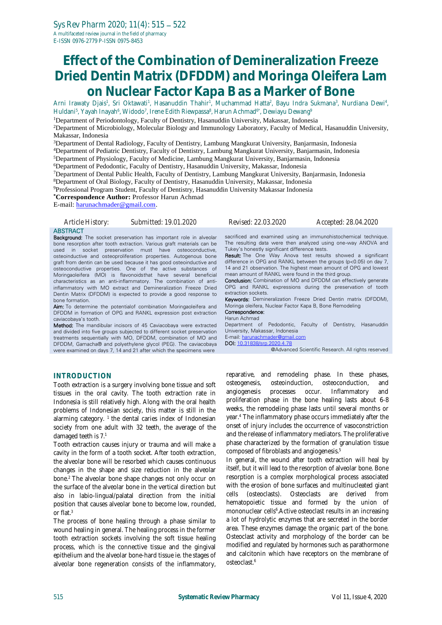# **Effect of the Combination of Demineralization Freeze Dried Dentin Matrix (DFDDM) and Moringa Oleifera Lam on Nuclear Factor Kapa B as a Marker of Bone**

Arni Irawaty Djais<sup>1</sup>, Sri Oktawati<sup>1</sup>, Hasanuddin Thahir<sup>1</sup>, Muchammad Hatta<sup>2</sup>, Bayu Indra Sukmana<sup>3</sup>, Nurdiana Dewi<sup>4</sup>, Huldani<sup>5</sup>, Yayah Inayah<sup>6</sup>, Widodo<sup>7</sup>, Irene Edith Riewpassa<sup>8</sup>, Harun Achmad<sup>6\*</sup>, Dewiayu Dewang<sup>9</sup>

<sup>1</sup>Department of Periodontology, Faculty of Dentistry, Hasanuddin University, Makassar, Indonesia

<sup>2</sup>Department of Microbiology, Molecular Biology and Immunology Laboratory, Faculty of Medical, Hasanuddin University, Makassar, Indonesia

<sup>3</sup>Department of Dental Radiology, Faculty of Dentistry, Lambung Mangkurat University, Banjarmasin, Indonesia

<sup>4</sup>Department of Pediatric Dentistry, Faculty of Dentistry, Lambung Mangkurat University, Banjarmasin, Indonesia

<sup>5</sup>Department of Physiology, Faculty of Medicine, Lambung Mangkurat University, Banjarmasin, Indonesia

<sup>6</sup>Department of Pedodontic, Faculty of Dentistry, Hasanuddin University, Makassar, Indonesia

<sup>7</sup>Department of Dental Public Health, Faculty of Dentistry, Lambung Mangkurat University, Banjarmasin, Indonesia

<sup>8</sup>Department of Oral Biology, Faculty of Dentistry, Hasanuddin University, Makassar, Indonesia

<sup>9</sup>Professional Program Student, Faculty of Dentistry, Hasanuddin University Makassar Indonesia

**\*Correspondence Author:** Professor Harun Achmad

E-mail[: harunachmader@gmail.com.](mailto:harunachmader@gmail.com)

*Article History: Submitted: 19.01.2020 Revised: 22.03.2020 Accepted: 28.04.2020*

#### **ABSTRACT**

Background: The socket preservation has important role in alveolar bone resorption after tooth extraction. Various graft materials can be used in socket preservation must have osteoconductive, osteoinductive and osteoproliferation properties. Autogenous bone graft from dentin can be used because it has good osteoinductive and osteoconductive properties. One of the active substances of Moringaoleifera (MO) is flavonoidsthat have several beneficial characteristics as an anti-inflammatory. The combination of antiinflammatory with MO extract and Demineralization Freeze Dried Dentin Matrix (DFDDM) is expected to provide a good response to bone formation.

Aim: To determine the potentialof combination Moringaoleifera and DFDDM in formation of OPG and RANKL expression post extraction caviacobaya's tooth.

Method: The mandibular incisors of 45 Caviacobaya were extracted and divided into five groups subjected to different socket preservation treatments sequentially with MO, DFDDM, combination of MO and DFDDM, Gamacha® and polyethylene glycol (PEG). The caviacobaya were examined on days 7, 14 and 21 after which the specimens were

sacrificed and examined using an immunohistochemical technique. The resulting data were then analyzed using one‑way ANOVA and Tukey's honestly significant difference tests.

Result: The One Way Anova test results showed a significant difference in OPG and RANKL between the groups (p<0.05) on day 7, 14 and 21 observation. The highest mean amount of OPG and lowest mean amount of RANKL were found in the third group.

Conclusion: Combination of MO and DFDDM can effectively generate OPG and RANKL expressions during the preservation of tooth extraction sockets.

Keywords: Demineralization Freeze Dried Dentin matrix (DFDDM), Moringa oleifera, Nuclear Factor Kapa B, Bone Remodeling Correspondence:

#### Harun Achmad

Department of Pedodontic, Faculty of Dentistry, Hasanuddin University, Makassar, Indonesia

E-mail: [harunachmader@gmail.com](mailto:harunachmader@gmail.com) DOI: [10.31838/srp.2020.4.78](http://dx.doi.org/10.5530/srp.2019.2.04)

@Advanced Scientific Research. All rights reserved

### **INTRODUCTION**

Tooth extraction is a surgery involving bone tissue and soft tissues in the oral cavity. The tooth extraction rate in Indonesia is still relatively high. Along with the oral health problems of Indonesian society, this matter is still in the alarming category.  $1$  the dental caries index of Indonesian society from one adult with 32 teeth, the average of the damaged teeth is 7.<sup>1</sup>

Tooth extraction causes injury or trauma and will make a cavity in the form of a tooth socket. After tooth extraction, the alveolar bone will be resorbed which causes continuous changes in the shape and size reduction in the alveolar bone.<sup>2</sup> The alveolar bone shape changes not only occur on the surface of the alveolar bone in the vertical direction but also in labio-lingual/palatal direction from the initial position that causes alveolar bone to become low, rounded, or flat.<sup>3</sup>

The process of bone healing through a phase similar to wound healing in general. The healing process in the former tooth extraction sockets involving the soft tissue healing process, which is the connective tissue and the gingival epithelium and the alveolar bone-hard tissue ie. the stages of alveolar bone regeneration consists of the inflammatory,

reparative, and remodeling phase. In these phases, osteogenesis, osteoinduction, osteoconduction, and angiogenesis processes occur. Inflammatory and proliferation phase in the bone healing lasts about 6-8 weeks, the remodeling phase lasts until several months or year.<sup>4</sup> The inflammatory phase occurs immediately after the onset of injury includes the occurrence of vasoconstriction and the release of inflammatory mediators. The proliferative phase characterized by the formation of granulation tissue composed of fibroblasts and angiogenesis.<sup>5</sup>

In general, the wound after tooth extraction will heal by itself, but it will lead to the resorption of alveolar bone. Bone resorption is a complex morphological process associated with the erosion of bone surfaces and multinucleated giant cells (osteoclasts). Osteoclasts are derived from hematopoietic tissue and formed by the union of mononuclear cells<sup>6</sup>. Active osteoclast results in an increasing a lot of hydrolytic enzymes that are secreted in the border area. These enzymes damage the organic part of the bone. Osteoclast activity and morphology of the border can be modified and regulated by hormones such as parathormone and calcitonin which have receptors on the membrane of osteoclast.6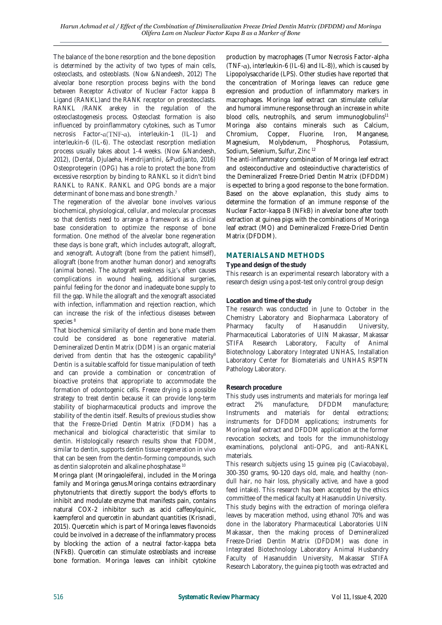The balance of the bone resorption and the bone deposition is determined by the activity of two types of main cells, osteoclasts, and osteoblasts. (Now &Nandeesh, 2012) The alveolar bone resorption process begins with the bond between Receptor Activator of Nuclear Factor kappa B Ligand (RANKL)and the RANK receptor on preosteoclasts. RANKL /RANK arekey in the regulation of the osteoclastogenesis process. Osteoclast formation is also influenced by proinflammatory cytokines, such as Tumor necrosis Factor- $\alpha(TNF-\alpha)$ , interleukin-1 (IL-1) and interleukin-6 (IL-6). The osteoclast resorption mediation process usually takes about 1-4 weeks. (Now &Nandeesh, 2012), (Dental, Djulaeha, Hendrijantini, &Pudijanto, 2016) Osteoprotegerin (OPG) has a role to protect the bone from excessive resorption by binding to RANKL so it didn't bind RANKL to RANK. RANKL and OPG bonds are a major determinant of bone mass and bone strength.<sup>7</sup>

The regeneration of the alveolar bone involves various biochemical, physiological, cellular, and molecular processes so that dentists need to arrange a framework as a clinical base consideration to optimize the response of bone formation. One method of the alveolar bone regeneration these days is bone graft, which includes autograft, allograft, and xenograft. Autograft (bone from the patient himself), allograft (bone from another human donor) and xenografts (animal bones). The autograft weakness is, it's often causes complications in wound healing, additional surgeries, painful feeling for the donor and inadequate bone supply to fill the gap. While the allograft and the xenograft associated with infection, inflammation and rejection reaction, which can increase the risk of the infectious diseases between species<sup>8</sup>

That biochemical similarity of dentin and bone made them could be considered as bone regenerative material. Demineralized Dentin Matrix (DDM) is an organic material derived from dentin that has the osteogenic capability<sup>9</sup> Dentin is a suitable scaffold for tissue manipulation of teeth and can provide a combination or concentration of bioactive proteins that appropriate to accommodate the formation of odontogenic cells. Freeze drying is a possible strategy to treat dentin because it can provide long-term stability of biopharmaceutical products and improve the stability of the dentin itself. Results of previous studies show that the Freeze-Dried Dentin Matrix (FDDM) has a mechanical and biological characteristic that similar to dentin. Histologically research results show that FDDM, similar to dentin, supports dentin tissue regeneration in vivo that can be seen from the dentin-forming compounds, such as dentin sialoprotein and alkaline phosphatase <sup>10</sup>

Moringa plant (Moringaoleifera), included in the Moringa family and Moringa genus.Moringa contains extraordinary phytonutrients that directly support the body's efforts to inhibit and modulate enzyme that manifests pain, contains natural COX-2 inhibitor such as acid caffeoylquinic, kaempferol and quercetin in abundant quantities (Krisnadi, 2015). Quercetin which is part of Moringa leaves flavonoids could be involved in a decrease of the inflammatory process by blocking the action of a neutral factor-kappa beta (NFkB). Quercetin can stimulate osteoblasts and increase bone formation. Moringa leaves can inhibit cytokine

production by macrophages (Tumor Necrosis Factor-alpha (TNF- $\alpha$ ), interleukin-6 (IL-6) and IL-8)), which is caused by Lipopolysaccharide (LPS). Other studies have reported that the concentration of Moringa leaves can reduce gene expression and production of inflammatory markers in macrophages. Moringa leaf extract can stimulate cellular and humoral immune response through an increase in white blood cells, neutrophils, and serum immunoglobulins<sup>11</sup> Moringa also contains minerals such as Calcium, Chromium, Copper, Fluorine, Iron, Manganese, Magnesium, Molybdenum, Phosphorus, Potassium, Sodium, Selenium, Sulfur, Zinc <sup>12</sup>

The anti-inflammatory combination of Moringa leaf extract and osteoconductive and osteoinductive characteristics of the Demineralized Freeze-Dried Dentin Matrix (DFDDM) is expected to bring a good response to the bone formation. Based on the above explanation, this study aims to determine the formation of an immune response of the Nuclear Factor-kappa B (NFkB) in alveolar bone after tooth extraction at guinea pigs with the combinations of Moringa leaf extract (MO) and Demineralized Freeze-Dried Dentin Matrix (DFDDM).

## **MATERIALS AND METHODS**

#### **Type and design of the study**

This research is an experimental research laboratory with a research design using a post-test only control group design

## **Location and time of the study**

The research was conducted in June to October in the Chemistry Laboratory and Biopharmaca Laboratory of Pharmacy faculty of Hasanuddin University, Pharmaceutical Laboratories of UIN Makassar, Makassar STIFA Research Laboratory, Faculty of Animal Biotechnology Laboratory Integrated UNHAS, Installation Laboratory Center for Biomaterials and UNHAS RSPTN Pathology Laboratory.

## **Research procedure**

This study uses instruments and materials for moringa leaf extract 2% manufacture, DFDDM manufacture; Instruments and materials for dental extractions; instruments for DFDDM applications; instruments for Moringa leaf extract and DFDDM application at the former revocation sockets, and tools for the immunohistology examinations, polyclonal anti-OPG, and anti-RANKL materials.

This research subjects using 15 guinea pig (Caviacobaya), 300-350 grams, 90-120 days old, male, and healthy (nondull hair, no hair loss, physically active, and have a good feed intake). This research has been accepted by the ethics committee of the medical faculty at Hasanuddin University.

This study begins with the extraction of moringa oleifera leaves by maceration method, using ethanol 70% and was done in the laboratory Pharmaceutical Laboratories UIN Makassar, then the making process of Demineralized Freeze-Dried Dentin Matrix (DFDDM) was done in Integrated Biotechnology Laboratory Animal Husbandry Faculty of Hasanuddin University, Makassar STIFA Research Laboratory, the guinea pig tooth was extracted and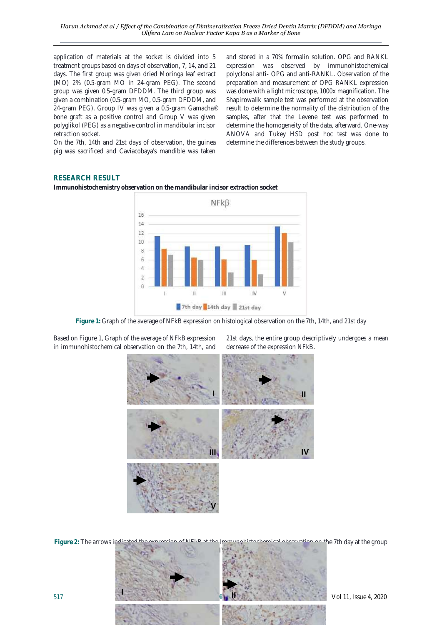application of materials at the socket is divided into 5 treatment groups based on days of observation, 7, 14, and 21 days. The first group was given dried Moringa leaf extract (MO) 2% (0.5-gram MO in 24-gram PEG). The second group was given 0.5-gram DFDDM. The third group was given a combination (0.5-gram MO, 0.5-gram DFDDM, and 24-gram PEG). Group IV was given a 0.5-gram Gamacha® bone graft as a positive control and Group V was given polyglikol (PEG) as a negative control in mandibular incisor retraction socket.

On the 7th, 14th and 21st days of observation, the guinea pig was sacrificed and Caviacobaya's mandible was taken

and stored in a 70% formalin solution. OPG and RANKL expression was observed by immunohistochemical polyclonal anti- OPG and anti-RANKL. Observation of the preparation and measurement of OPG RANKL expression was done with a light microscope, 1000x magnification. The Shapirowalik sample test was performed at the observation result to determine the normality of the distribution of the samples, after that the Levene test was performed to determine the homogeneity of the data, afterward, One-way ANOVA and Tukey HSD post hoc test was done to determine the differences between the study groups.

# **RESEARCH RESULT**

**Immunohistochemistry observation on the mandibular incisor extraction socket**



**Figure 1:** Graph of the average of NFkB expression on histological observation on the 7th, 14th, and 21st day

Based on Figure 1, Graph of the average of NFkB expression in immunohistochemical observation on the 7th, 14th, and

21st days, the entire group descriptively undergoes a mean decrease of the expression NFkB.



517 **Systematic Review Pharmacy** Vol 11, Issue 4, 2020 **Figure 2:** The arrows indicated the expression of NFkB at the Immunohistochemical observation on the 7th day at the group I, II, III, IV, and V **I II**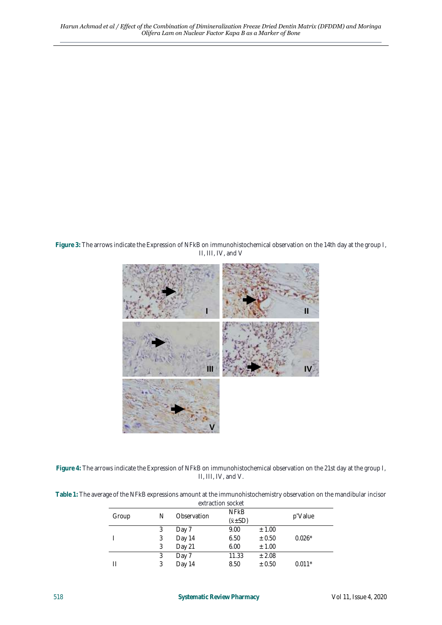**Figure 3:** The arrows indicate the Expression of NFkB on immunohistochemical observation on the 14th day at the group I, II, III, IV, and V



| Figure 4: The arrows indicate the Expression of NFkB on immunohistochemical observation on the 21st day at the group I, |  |
|-------------------------------------------------------------------------------------------------------------------------|--|
| $\Box$ $\Box$ $\Box$ $\Box$ $\Box$ $\Box$ $\Box$ $\Box$                                                                 |  |

| Table 1: The average of the NFkB expressions amount at the immunohistochemistry observation on the mandibular incisor |
|-----------------------------------------------------------------------------------------------------------------------|
| extraction socket                                                                                                     |

| Group |  | Observation<br>N | <b>NFKB</b>         |            | p'Value  |  |
|-------|--|------------------|---------------------|------------|----------|--|
|       |  |                  | $(\ddot{x} \pm SD)$ |            |          |  |
|       |  | Day 7            | 9.00                | ± 1.00     |          |  |
|       |  | Day 14           | 6.50                | $\pm 0.50$ | $0.026*$ |  |
|       |  | Day 21           | 6.00                | ± 1.00     |          |  |
|       |  | Day 7            | 11.33               | ± 2.08     |          |  |
|       |  | Day 14           | 8.50                | $\pm 0.50$ | $0.011*$ |  |
|       |  |                  |                     |            |          |  |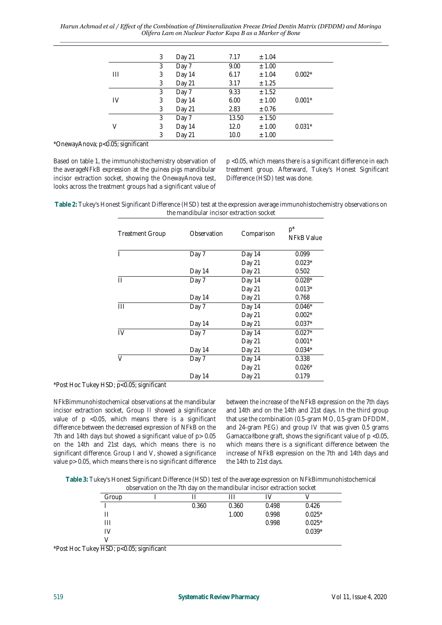*Harun Achmad et al / Effect of the Combination of Dimineralization Freeze Dried Dentin Matrix (DFDDM) and Moringa Olifera Lam on Nuclear Factor Kapa B as a Marker of Bone*

|    | 3 | Day 21 | 7.17  | ± 1.04 |          |
|----|---|--------|-------|--------|----------|
|    | 3 | Day 7  | 9.00  | ± 1.00 |          |
| Ш  | 3 | Day 14 | 6.17  | ± 1.04 | $0.002*$ |
|    | 3 | Day 21 | 3.17  | ± 1.25 |          |
|    | 3 | Day 7  | 9.33  | ± 1.52 |          |
| IV | 3 | Day 14 | 6.00  | ± 1.00 | $0.001*$ |
|    | 3 | Day 21 | 2.83  | ± 0.76 |          |
|    | 3 | Day 7  | 13.50 | ± 1.50 |          |
| V  | 3 | Day 14 | 12.0  | ± 1.00 | $0.031*$ |
|    | 3 | Day 21 | 10.0  | ± 1.00 |          |

\*OnewayAnova; p<0.05; significant

Based on table 1, the immunohistochemistry observation of the averageNFkB expression at the guinea pigs mandibular incisor extraction socket, showing the OnewayAnova test, looks across the treatment groups had a significant value of

p <0.05, which means there is a significant difference in each treatment group. Afterward, Tukey's Honest Significant Difference (HSD) test was done.

**Table 2:** Tukey's Honest Significant Difference (HSD) test at the expression average immunohistochemistry observations on the mandibular incisor extraction socket

| <b>Treatment Group</b> | Observation | Comparison | $p^*$<br><b>NFkB Value</b> |
|------------------------|-------------|------------|----------------------------|
|                        | Day 7       | Day 14     | 0.099                      |
|                        |             | Day 21     | $0.023*$                   |
|                        | Day 14      | Day 21     | 0.502                      |
| Ш                      | Day 7       | Day 14     | $0.028*$                   |
|                        |             | Day 21     | $0.013*$                   |
|                        | Day 14      | Day 21     | 0.768                      |
|                        | Day 7       | Day 14     | $0.046*$                   |
|                        |             | Day 21     | $0.002*$                   |
|                        | Day 14      | Day 21     | $0.037*$                   |
| IV                     | Day 7       | Day 14     | $0.027*$                   |
|                        |             | Day 21     | $0.001*$                   |
|                        | Day 14      | Day 21     | $0.034*$                   |
| V                      | Day 7       | Day 14     | 0.338                      |
|                        |             | Day 21     | $0.026*$                   |
|                        | Day 14      | Day 21     | 0.179                      |

\*Post Hoc Tukey HSD; p<0.05; significant

NFkBimmunohistochemical observations at the mandibular incisor extraction socket, Group II showed a significance value of p <0.05, which means there is a significant difference between the decreased expression of NFkB on the 7th and 14th days but showed a significant value of p > 0.05 on the 14th and 21st days, which means there is no significant difference. Group I and V, showed a significance value p> 0.05, which means there is no significant difference between the increase of the NFkB expression on the 7th days and 14th and on the 14th and 21st days. In the third group that use the combination (0.5-gram MO, 0.5-gram DFDDM, and 24-gram PEG) and group IV that was given 0.5 grams Gamacca® bone graft, shows the significant value of p <0.05, which means there is a significant difference between the increase of NFkB expression on the 7th and 14th days and the 14th to 21st days.

**Table 3:** Tukey's Honest Significant Difference (HSD) test of the average expression on NFkBimmunohistochemical observation on the 7th day on the mandibular incisor extraction socket

| Group |       |       |       |          |  |
|-------|-------|-------|-------|----------|--|
|       | 0.360 | 0.360 | 0.498 | 0.426    |  |
|       |       | 1.000 | 0.998 | $0.025*$ |  |
| Ш     |       |       | 0.998 | $0.025*$ |  |
|       |       |       |       | $0.039*$ |  |
|       |       |       |       |          |  |

\*Post Hoc Tukey HSD; p<0.05; significant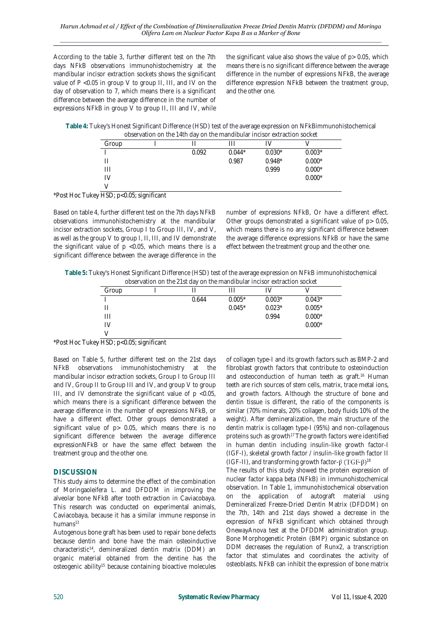According to the table 3, further different test on the 7th days NFkB observations immunohistochemistry at the mandibular incisor extraction sockets shows the significant value of P <0.05 in group V to group II, III, and IV on the day of observation to 7, which means there is a significant difference between the average difference in the number of expressions NFkB in group V to group II, III and IV, while

the significant value also shows the value of p> 0.05, which means there is no significant difference between the average difference in the number of expressions NFkB, the average difference expression NFkB between the treatment group, and the other one.

**Table 4:** Tukey's Honest Significant Difference (HSD) test of the average expression on NFkBimmunohistochemical observation on the 14th day on the mandibular incisor extraction socket

| Group |       |          |          |          |
|-------|-------|----------|----------|----------|
|       | 0.092 | $0.044*$ | $0.030*$ | $0.003*$ |
|       |       | 0.987    | $0.948*$ | $0.000*$ |
| Ш     |       |          | 0.999    | $0.000*$ |
| IV    |       |          |          | $0.000*$ |
|       |       |          |          |          |

\*Post Hoc Tukey HSD; p<0.05; significant

Based on table 4, further different test on the 7th days NFkB observations immunohistochemistry at the mandibular incisor extraction sockets, Group I to Group III, IV, and V, as well as the group V to group I, II, III, and IV demonstrate the significant value of  $p$  <0.05, which means there is a significant difference between the average difference in the

number of expressions NFkB, Or have a different effect. Other groups demonstrated a significant value of p> 0.05, which means there is no any significant difference between the average difference expressions NFkB or have the same effect between the treatment group and the other one.

**Table 5:** Tukey's Honest Significant Difference (HSD) test of the average expression on NFkB immunohistochemical observation on the 21st day on the mandibular incisor extraction socket

| about ration on the Elot day on the mandial molect ontraction cooker |  |       |          |          |          |  |
|----------------------------------------------------------------------|--|-------|----------|----------|----------|--|
| Group                                                                |  |       |          |          |          |  |
|                                                                      |  | 0.644 | $0.005*$ | $0.003*$ | $0.043*$ |  |
|                                                                      |  |       | $0.045*$ | $0.023*$ | $0.005*$ |  |
| Ш                                                                    |  |       |          | 0.994    | $0.000*$ |  |
| IV                                                                   |  |       |          |          | $0.000*$ |  |
|                                                                      |  |       |          |          |          |  |

\*Post Hoc Tukey HSD; p<0.05; significant

Based on Table 5, further different test on the 21st days NFkB observations immunohistochemistry at the mandibular incisor extraction sockets, Group I to Group III and IV, Group II to Group III and IV, and group V to group III, and IV demonstrate the significant value of  $p < 0.05$ , which means there is a significant difference between the average difference in the number of expressions NFkB, or have a different effect. Other groups demonstrated a significant value of p> 0.05, which means there is no significant difference between the average difference expressionNFkB or have the same effect between the treatment group and the other one.

## **DISCUSSION**

This study aims to determine the effect of the combination of Moringaoleifera L. and DFDDM in improving the alveolar bone NFkB after tooth extraction in Caviacobaya. This research was conducted on experimental animals, Caviacobaya, because it has a similar immune response in humans<sup>13</sup>

Autogenous bone graft has been used to repair bone defects because dentin and bone have the main osteoinductive characteristic<sup>14</sup> , demineralized dentin matrix (DDM) an organic material obtained from the dentine has the osteogenic ability<sup>15</sup> because containing bioactive molecules

of collagen type-I and its growth factors such as BMP-2 and fibroblast growth factors that contribute to osteoinduction and osteoconduction of human teeth as graft.<sup>16</sup> Human teeth are rich sources of stem cells, matrix, trace metal ions, and growth factors. Although the structure of bone and dentin tissue is different, the ratio of the components is similar (70% minerals, 20% collagen, body fluids 10% of the weight). After demineralization, the main structure of the dentin matrix is collagen type-I (95%) and non-collagenous proteins such as growth<sup>17</sup> The growth factors were identified in human dentin including insulin-like growth factor-I (IGF-I), skeletal growth factor / insulin-like growth factor II (IGF-II), and transforming growth factor- $\beta$  (TGF- $\beta$ )<sup>18</sup>

The results of this study showed the protein expression of nuclear factor kappa beta (NFkB) in immunohistochemical observation. In Table 1, immunohistochemical observation on the application of autograft material using Demineralized Freeze-Dried Dentin Matrix (DFDDM) on the 7th, 14th and 21st days showed a decrease in the expression of NFkB significant which obtained through OnewayAnova test at the DFDDM administration group. Bone Morphogenetic Protein (BMP) organic substance on DDM decreases the regulation of Runx2, a transcription factor that stimulates and coordinates the activity of osteoblasts. NFkB can inhibit the expression of bone matrix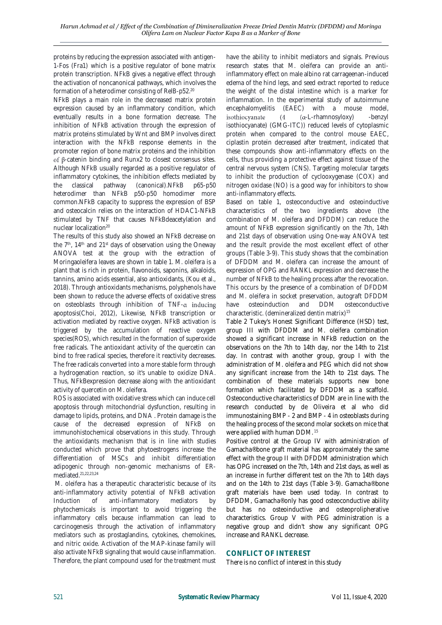proteins by reducing the expression associated with antigen-1-Fos (Fra1) which is a positive regulator of bone matrix protein transcription. NFkB gives a negative effect through the activation of noncanonical pathways, which involves the formation of a heterodimer consisting of RelB-p52.<sup>20</sup>

NFkB plays a main role in the decreased matrix protein expression caused by an inflammatory condition, which eventually results in a bone formation decrease. The inhibition of NFkB activation through the expression of matrix proteins stimulated by Wnt and BMP involves direct interaction with the NFkB response elements in the promoter region of bone matrix proteins and the inhibition of  $\beta$ -catenin binding and Runx2 to closest consensus sites. Although NFkB usually regarded as a positive regulator of inflammatory cytokines, the inhibition effects mediated by the classical pathway (canonical).NFkB p65-p50 heterodimer than NFkB p50-p50 homodimer more common.NFkB capacity to suppress the expression of BSP and osteocalcin relies on the interaction of HDAC1-NFkB stimulated by TNF that causes NFkBdeacetylation and nuclear localization<sup>20</sup>

The results of this study also showed an NFkB decrease on the 7<sup>th</sup>, 14<sup>th</sup> and 21<sup>st</sup> days of observation using the Oneway ANOVA test at the group with the extraction of Moringaoleifera leaves are shown in table 1. M. oleifera is a plant that is rich in protein, flavonoids, saponins, alkaloids, tannins, amino acids essential, also antioxidants, (Kou et al., 2018). Through antioxidants mechanisms, polyphenols have been shown to reduce the adverse effects of oxidative stress on osteoblasts through inhibition of  $TNF-\alpha$  inducing apoptosis(Choi, 2012), Likewise, NFkB transcription or activation mediated by reactive oxygen. NFkB activation is triggered by the accumulation of reactive oxygen species(ROS), which resulted in the formation of superoxide free radicals. The antioxidant activity of the quercetin can bind to free radical species, therefore it reactivity decreases. The free radicals converted into a more stable form through a hydrogenation reaction, so it's unable to oxidize DNA. Thus, NFkBexpression decrease along with the antioxidant activity of quercetin on M. oleifera.

ROS is associated with oxidative stress which can induce cell apoptosis through mitochondrial dysfunction, resulting in damage to lipids, proteins, and DNA . Protein damage is the cause of the decreased expression of NFkB on immunohistochemical observations in this study. Through the antioxidants mechanism that is in line with studies conducted which prove that phytoestrogens increase the differentiation of MSCs and inhibit differentiation adipogenic through non-genomic mechanisms of ERmediated.21,22,23,24

M. oleifera has a therapeutic characteristic because of its anti-inflammatory activity potential of NFkB activation Induction of anti-inflammatory mediators by phytochemicals is important to avoid triggering the inflammatory cells because inflammation can lead to carcinogenesis through the activation of inflammatory mediators such as prostaglandins, cytokines, chemokines, and nitric oxide. Activation of the MAP-kinase family will also activate NFkB signaling that would cause inflammation. Therefore, the plant compound used for the treatment must have the ability to inhibit mediators and signals. Previous research states that M. oleifera can provide an antiinflammatory effect on male albino rat carrageenan-induced edema of the hind legs, and seed extract reported to reduce the weight of the distal intestine which is a marker for inflammation. In the experimental study of autoimmune encephalomyelitis (EAEC) with a mouse model, isothiocyanate  $(4)$ -L-rhamnosyloxy) -benzyl isothiocyanate) (GMG-ITC)) reduced levels of cytoplasmic protein when compared to the control mouse EAEC, ciplastin protein decreased after treatment, indicated that these compounds show anti-inflammatory effects on the cells, thus providing a protective effect against tissue of the central nervous system (CNS). Targeting molecular targets to inhibit the production of cyclooxygenase (COX) and nitrogen oxidase (NO) is a good way for inhibitors to show anti-inflammatory effects.

Based on table 1, osteoconductive and osteoinductive characteristics of the two ingredients above (the combination of M. oleifera and DFDDM) can reduce the amount of NFkB expression significantly on the 7th, 14th and 21st days of observation using One-way ANOVA test and the result provide the most excellent effect of other groups (Table 3-9). This study shows that the combination of DFDDM and M. oleifera can increase the amount of expression of OPG and RANKL expression and decrease the number of NFkB to the healing process after the revocation. This occurs by the presence of a combination of DFDDM and M. oleifera in socket preservation, autograft DFDDM have osteoinduction and DDM osteoconductive characteristic. (demineralized dentin matrix)<sup>15</sup>

Table 2 Tukey's Honest Significant Difference (HSD) test, group III with DFDDM and M. oleifera combination showed a significant increase in NFkB reduction on the observations on the 7th to 14th day, nor the 14th to 21st day. In contrast with another group, group I with the administration of M. oleifera and PEG which did not show any significant increase from the 14th to 21st days. The combination of these materials supports new bone formation which facilitated by DFDDM as a scaffold. Osteoconductive characteristics of DDM are in line with the research conducted by de Oliveira et al who did immunostaining BMP - 2 and BMP - 4 in osteoblasts during the healing process of the second molar sockets on mice that were applied with human DDM. <sup>15</sup>

Positive control at the Group IV with administration of Gamacha® bone graft material has approximately the same effect with the group II with DFDDM administration which has OPG increased on the 7th, 14th and 21st days, as well as an increase in further different test on the 7th to 14th days and on the 14th to 21st days (Table 3-9). Gamacha® bone graft materials have been used today. In contrast to DFDDM, Gamacha® only has good osteoconductive ability but has no osteoinductive and osteoprolipherative characteristics. Group V with PEG administration is a negative group and didn't show any significant OPG increase and RANKL decrease.

## **CONFLICT OF INTEREST**

There is no conflict of interest in this study